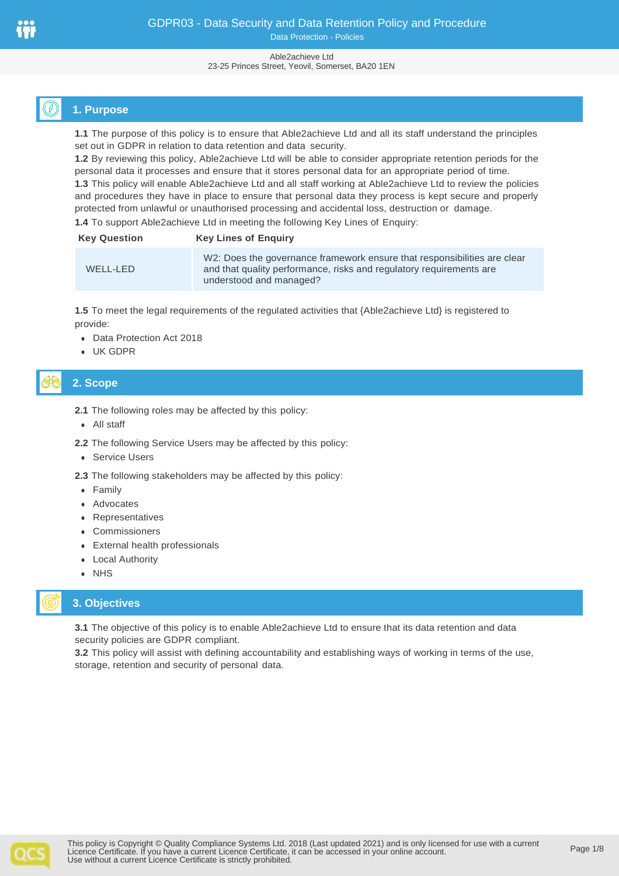#### Able2achieve Ltd 23-25 Princes Street, Yeovil, Somerset, BA20 1EN

# **1. Purpose**

**1.1** The purpose of this policy is to ensure that Able2achieve Ltd and all its staff understand the principles set out in GDPR in relation to data retention and data security.

**1.2** By reviewing this policy, Able2achieve Ltd will be able to consider appropriate retention periods for the personal data it processes and ensure that it stores personal data for an appropriate period of time.

**1.3** This policy will enable Able2achieve Ltd and all staff working at Able2achieve Ltd to review the policies and procedures they have in place to ensure that personal data they process is kept secure and properly protected from unlawful or unauthorised processing and accidental loss, destruction or damage.

**1.4** To support Able2achieve Ltd in meeting the following Key Lines of Enquiry:

| <b>Key Question</b> | <b>Key Lines of Enguiry</b>                                                                                                                                                |
|---------------------|----------------------------------------------------------------------------------------------------------------------------------------------------------------------------|
| WELL-LED            | W2: Does the governance framework ensure that responsibilities are clear<br>and that quality performance, risks and regulatory requirements are<br>understood and managed? |

**1.5** To meet the legal requirements of the regulated activities that {Able2achieve Ltd} is registered to provide:

- ⚫ Data Protection Act 2018
- ⚫ UK GDPR

# **2. Scope**

- **2.1** The following roles may be affected by this policy:
- ⚫ All staff
- **2.2** The following Service Users may be affected by this policy:
- ⚫ Service Users

**2.3** The following stakeholders may be affected by this policy:

- ⚫ Family
- ⚫ Advocates
- ⚫ Representatives
- ⚫ Commissioners
- ⚫ External health professionals
- ⚫ Local Authority
- ⚫ NHS

## **3. Objectives**

**3.1** The objective of this policy is to enable Able2achieve Ltd to ensure that its data retention and data security policies are GDPR compliant.

**3.2** This policy will assist with defining accountability and establishing ways of working in terms of the use, storage, retention and security of personal data.

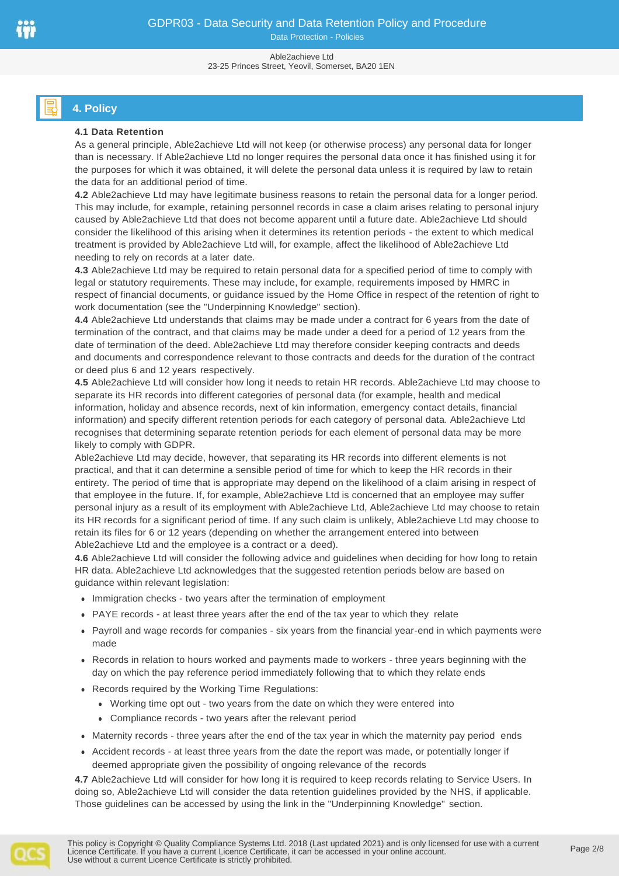#### Able2achieve Ltd 23-25 Princes Street, Yeovil, Somerset, BA20 1EN

# **4. Policy**

## **4.1 Data Retention**

As a general principle, Able2achieve Ltd will not keep (or otherwise process) any personal data for longer than is necessary. If Able2achieve Ltd no longer requires the personal data once it has finished using it for the purposes for which it was obtained, it will delete the personal data unless it is required by law to retain the data for an additional period of time.

**4.2** Able2achieve Ltd may have legitimate business reasons to retain the personal data for a longer period. This may include, for example, retaining personnel records in case a claim arises relating to personal injury caused by Able2achieve Ltd that does not become apparent until a future date. Able2achieve Ltd should consider the likelihood of this arising when it determines its retention periods - the extent to which medical treatment is provided by Able2achieve Ltd will, for example, affect the likelihood of Able2achieve Ltd needing to rely on records at a later date.

**4.3** Able2achieve Ltd may be required to retain personal data for a specified period of time to comply with legal or statutory requirements. These may include, for example, requirements imposed by HMRC in respect of financial documents, or guidance issued by the Home Office in respect of the retention of right to work documentation (see the "Underpinning Knowledge" section).

**4.4** Able2achieve Ltd understands that claims may be made under a contract for 6 years from the date of termination of the contract, and that claims may be made under a deed for a period of 12 years from the date of termination of the deed. Able2achieve Ltd may therefore consider keeping contracts and deeds and documents and correspondence relevant to those contracts and deeds for the duration of the contract or deed plus 6 and 12 years respectively.

**4.5** Able2achieve Ltd will consider how long it needs to retain HR records. Able2achieve Ltd may choose to separate its HR records into different categories of personal data (for example, health and medical information, holiday and absence records, next of kin information, emergency contact details, financial information) and specify different retention periods for each category of personal data. Able2achieve Ltd recognises that determining separate retention periods for each element of personal data may be more likely to comply with GDPR.

Able2achieve Ltd may decide, however, that separating its HR records into different elements is not practical, and that it can determine a sensible period of time for which to keep the HR records in their entirety. The period of time that is appropriate may depend on the likelihood of a claim arising in respect of that employee in the future. If, for example, Able2achieve Ltd is concerned that an employee may suffer personal injury as a result of its employment with Able2achieve Ltd, Able2achieve Ltd may choose to retain its HR records for a significant period of time. If any such claim is unlikely, Able2achieve Ltd may choose to retain its files for 6 or 12 years (depending on whether the arrangement entered into between Able2achieve Ltd and the employee is a contract or a deed).

**4.6** Able2achieve Ltd will consider the following advice and guidelines when deciding for how long to retain HR data. Able2achieve Ltd acknowledges that the suggested retention periods below are based on guidance within relevant legislation:

- ⚫ Immigration checks two years after the termination of employment
- ⚫ PAYE records at least three years after the end of the tax year to which they relate
- ⚫ Payroll and wage records for companies six years from the financial year-end in which payments were made
- ⚫ Records in relation to hours worked and payments made to workers three years beginning with the day on which the pay reference period immediately following that to which they relate ends
- ⚫ Records required by the Working Time Regulations:
	- ⚫ Working time opt out two years from the date on which they were entered into
	- ⚫ Compliance records two years after the relevant period
- ⚫ Maternity records three years after the end of the tax year in which the maternity pay period ends
- ⚫ Accident records at least three years from the date the report was made, or potentially longer if deemed appropriate given the possibility of ongoing relevance of the records

**4.7** Able2achieve Ltd will consider for how long it is required to keep records relating to Service Users. In doing so, Able2achieve Ltd will consider the data retention guidelines provided by the NHS, if applicable. Those guidelines can be accessed by using the link in the "Underpinning Knowledge" section.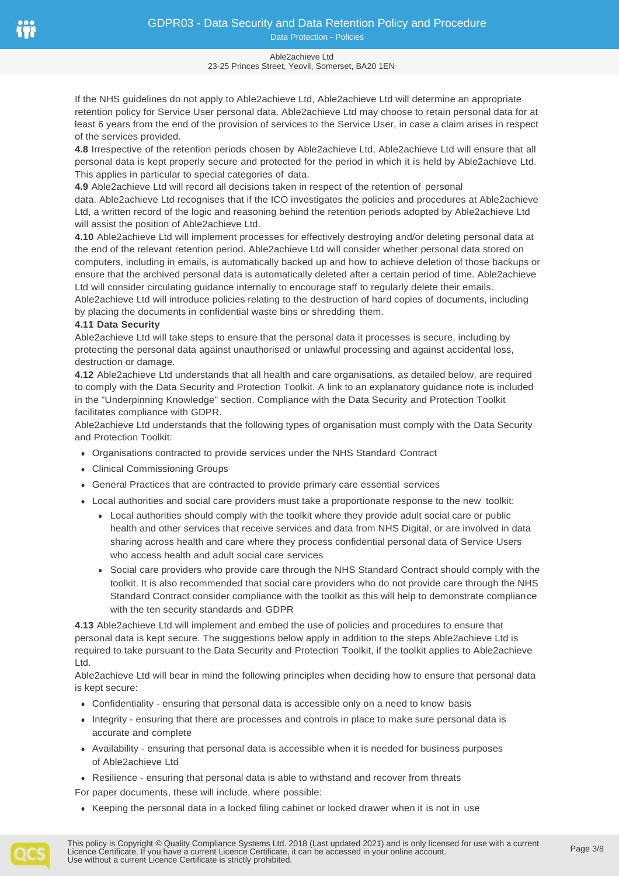#### Able2achieve Ltd 23-25 Princes Street, Yeovil, Somerset, BA20 1EN

If the NHS guidelines do not apply to Able2achieve Ltd, Able2achieve Ltd will determine an appropriate retention policy for Service User personal data. Able2achieve Ltd may choose to retain personal data for at least 6 years from the end of the provision of services to the Service User, in case a claim arises in respect of the services provided.

**4.8** Irrespective of the retention periods chosen by Able2achieve Ltd, Able2achieve Ltd will ensure that all personal data is kept properly secure and protected for the period in which it is held by Able2achieve Ltd. This applies in particular to special categories of data.

**4.9** Able2achieve Ltd will record all decisions taken in respect of the retention of personal data. Able2achieve Ltd recognises that if the ICO investigates the policies and procedures at Able2achieve Ltd, a written record of the logic and reasoning behind the retention periods adopted by Able2achieve Ltd will assist the position of Able2achieve Ltd.

**4.10** Able2achieve Ltd will implement processes for effectively destroying and/or deleting personal data at the end of the relevant retention period. Able2achieve Ltd will consider whether personal data stored on computers, including in emails, is automatically backed up and how to achieve deletion of those backups or ensure that the archived personal data is automatically deleted after a certain period of time. Able2achieve Ltd will consider circulating guidance internally to encourage staff to regularly delete their emails.

Able2achieve Ltd will introduce policies relating to the destruction of hard copies of documents, including by placing the documents in confidential waste bins or shredding them.

## **4.11 Data Security**

Able2achieve Ltd will take steps to ensure that the personal data it processes is secure, including by protecting the personal data against unauthorised or unlawful processing and against accidental loss, destruction or damage.

**4.12** Able2achieve Ltd understands that all health and care organisations, as detailed below, are required to comply with the Data Security and Protection Toolkit. A link to an explanatory guidance note is included in the "Underpinning Knowledge" section. Compliance with the Data Security and Protection Toolkit facilitates compliance with GDPR.

Able2achieve Ltd understands that the following types of organisation must comply with the Data Security and Protection Toolkit:

- ⚫ Organisations contracted to provide services under the NHS Standard Contract
- ⚫ Clinical Commissioning Groups
- ⚫ General Practices that are contracted to provide primary care essential services
- ⚫ Local authorities and social care providers must take a proportionate response to the new toolkit:
	- ⚫ Local authorities should comply with the toolkit where they provide adult social care or public health and other services that receive services and data from NHS Digital, or are involved in data sharing across health and care where they process confidential personal data of Service Users who access health and adult social care services
	- ⚫ Social care providers who provide care through the NHS Standard Contract should comply with the toolkit. It is also recommended that social care providers who do not provide care through the NHS Standard Contract consider compliance with the toolkit as this will help to demonstrate compliance with the ten security standards and GDPR

**4.13** Able2achieve Ltd will implement and embed the use of policies and procedures to ensure that personal data is kept secure. The suggestions below apply in addition to the steps Able2achieve Ltd is required to take pursuant to the Data Security and Protection Toolkit, if the toolkit applies to Able2achieve Ltd.

Able2achieve Ltd will bear in mind the following principles when deciding how to ensure that personal data is kept secure:

- ⚫ Confidentiality ensuring that personal data is accessible only on a need to know basis
- ⚫ Integrity ensuring that there are processes and controls in place to make sure personal data is accurate and complete
- ⚫ Availability ensuring that personal data is accessible when it is needed for business purposes of Able2achieve Ltd
- ⚫ Resilience ensuring that personal data is able to withstand and recover from threats

For paper documents, these will include, where possible:

⚫ Keeping the personal data in a locked filing cabinet or locked drawer when it is not in use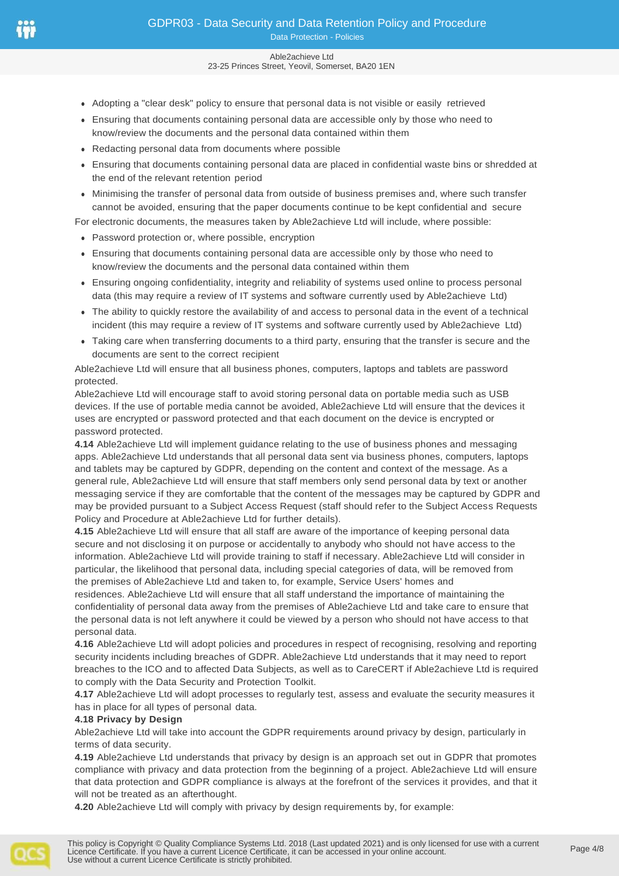#### Able2achieve Ltd 23-25 Princes Street, Yeovil, Somerset, BA20 1EN

- ⚫ Adopting a "clear desk" policy to ensure that personal data is not visible or easily retrieved
- ⚫ Ensuring that documents containing personal data are accessible only by those who need to know/review the documents and the personal data contained within them
- ⚫ Redacting personal data from documents where possible
- ⚫ Ensuring that documents containing personal data are placed in confidential waste bins or shredded at the end of the relevant retention period
- ⚫ Minimising the transfer of personal data from outside of business premises and, where such transfer cannot be avoided, ensuring that the paper documents continue to be kept confidential and secure

For electronic documents, the measures taken by Able2achieve Ltd will include, where possible:

- ⚫ Password protection or, where possible, encryption
- ⚫ Ensuring that documents containing personal data are accessible only by those who need to know/review the documents and the personal data contained within them
- ⚫ Ensuring ongoing confidentiality, integrity and reliability of systems used online to process personal data (this may require a review of IT systems and software currently used by Able2achieve Ltd)
- ⚫ The ability to quickly restore the availability of and access to personal data in the event of a technical incident (this may require a review of IT systems and software currently used by Able2achieve Ltd)
- ⚫ Taking care when transferring documents to a third party, ensuring that the transfer is secure and the documents are sent to the correct recipient

Able2achieve Ltd will ensure that all business phones, computers, laptops and tablets are password protected.

Able2achieve Ltd will encourage staff to avoid storing personal data on portable media such as USB devices. If the use of portable media cannot be avoided, Able2achieve Ltd will ensure that the devices it uses are encrypted or password protected and that each document on the device is encrypted or password protected.

**4.14** Able2achieve Ltd will implement guidance relating to the use of business phones and messaging apps. Able2achieve Ltd understands that all personal data sent via business phones, computers, laptops and tablets may be captured by GDPR, depending on the content and context of the message. As a general rule, Able2achieve Ltd will ensure that staff members only send personal data by text or another messaging service if they are comfortable that the content of the messages may be captured by GDPR and may be provided pursuant to a Subject Access Request (staff should refer to the Subject Access Requests Policy and Procedure at Able2achieve Ltd for further details).

**4.15** Able2achieve Ltd will ensure that all staff are aware of the importance of keeping personal data secure and not disclosing it on purpose or accidentally to anybody who should not have access to the information. Able2achieve Ltd will provide training to staff if necessary. Able2achieve Ltd will consider in particular, the likelihood that personal data, including special categories of data, will be removed from the premises of Able2achieve Ltd and taken to, for example, Service Users' homes and

residences. Able2achieve Ltd will ensure that all staff understand the importance of maintaining the confidentiality of personal data away from the premises of Able2achieve Ltd and take care to ensure that the personal data is not left anywhere it could be viewed by a person who should not have access to that personal data.

**4.16** Able2achieve Ltd will adopt policies and procedures in respect of recognising, resolving and reporting security incidents including breaches of GDPR. Able2achieve Ltd understands that it may need to report breaches to the ICO and to affected Data Subjects, as well as to CareCERT if Able2achieve Ltd is required to comply with the Data Security and Protection Toolkit.

**4.17** Able2achieve Ltd will adopt processes to regularly test, assess and evaluate the security measures it has in place for all types of personal data.

#### **4.18 Privacy by Design**

Able2achieve Ltd will take into account the GDPR requirements around privacy by design, particularly in terms of data security.

**4.19** Able2achieve Ltd understands that privacy by design is an approach set out in GDPR that promotes compliance with privacy and data protection from the beginning of a project. Able2achieve Ltd will ensure that data protection and GDPR compliance is always at the forefront of the services it provides, and that it will not be treated as an afterthought.

**4.20** Able2achieve Ltd will comply with privacy by design requirements by, for example:

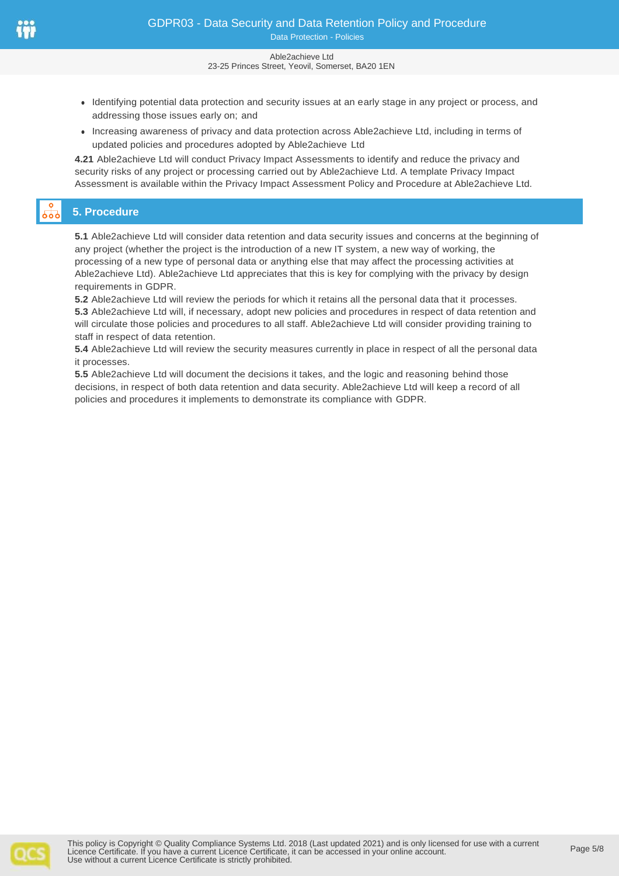#### Able2achieve Ltd 23-25 Princes Street, Yeovil, Somerset, BA20 1EN

- ⚫ Identifying potential data protection and security issues at an early stage in any project or process, and addressing those issues early on; and
- ⚫ Increasing awareness of privacy and data protection across Able2achieve Ltd, including in terms of updated policies and procedures adopted by Able2achieve Ltd

**4.21** Able2achieve Ltd will conduct Privacy Impact Assessments to identify and reduce the privacy and security risks of any project or processing carried out by Able2achieve Ltd. A template Privacy Impact Assessment is available within the Privacy Impact Assessment Policy and Procedure at Able2achieve Ltd.

# **5. Procedure**

**5.1** Able2achieve Ltd will consider data retention and data security issues and concerns at the beginning of any project (whether the project is the introduction of a new IT system, a new way of working, the processing of a new type of personal data or anything else that may affect the processing activities at Able2achieve Ltd). Able2achieve Ltd appreciates that this is key for complying with the privacy by design requirements in GDPR.

**5.2** Able2achieve Ltd will review the periods for which it retains all the personal data that it processes. **5.3** Able2achieve Ltd will, if necessary, adopt new policies and procedures in respect of data retention and will circulate those policies and procedures to all staff. Able2achieve Ltd will consider providing training to staff in respect of data retention.

**5.4** Able2achieve Ltd will review the security measures currently in place in respect of all the personal data it processes.

**5.5** Able2achieve Ltd will document the decisions it takes, and the logic and reasoning behind those decisions, in respect of both data retention and data security. Able2achieve Ltd will keep a record of all policies and procedures it implements to demonstrate its compliance with GDPR.

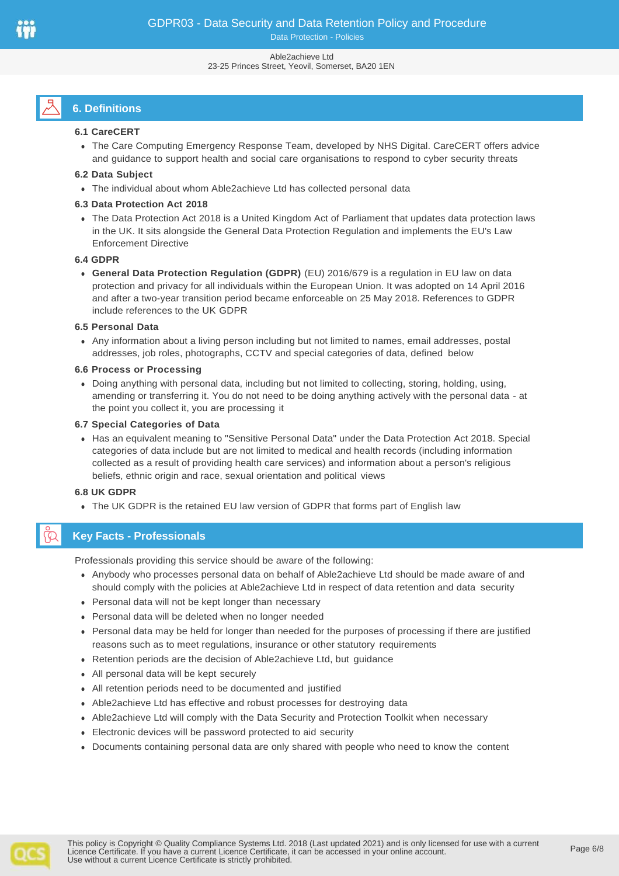#### Able2achieve Ltd 23-25 Princes Street, Yeovil, Somerset, BA20 1EN

# **6. Definitions**

## **6.1 CareCERT**

⚫ The Care Computing Emergency Response Team, developed by NHS Digital. CareCERT offers advice and guidance to support health and social care organisations to respond to cyber security threats

## **6.2 Data Subject**

⚫ The individual about whom Able2achieve Ltd has collected personal data

## **6.3 Data Protection Act 2018**

⚫ The Data Protection Act 2018 is a United Kingdom Act of Parliament that updates data protection laws in the UK. It sits alongside the General Data Protection Regulation and implements the EU's Law Enforcement Directive

## **6.4 GDPR**

⚫ **General Data Protection Regulation (GDPR)** (EU) 2016/679 is a regulation in EU law on data protection and privacy for all individuals within the European Union. It was adopted on 14 April 2016 and after a two-year transition period became enforceable on 25 May 2018. References to GDPR include references to the UK GDPR

#### **6.5 Personal Data**

⚫ Any information about a living person including but not limited to names, email addresses, postal addresses, job roles, photographs, CCTV and special categories of data, defined below

#### **6.6 Process or Processing**

⚫ Doing anything with personal data, including but not limited to collecting, storing, holding, using, amending or transferring it. You do not need to be doing anything actively with the personal data - at the point you collect it, you are processing it

## **6.7 Special Categories of Data**

⚫ Has an equivalent meaning to "Sensitive Personal Data" under the Data Protection Act 2018. Special categories of data include but are not limited to medical and health records (including information collected as a result of providing health care services) and information about a person's religious beliefs, ethnic origin and race, sexual orientation and political views

## **6.8 UK GDPR**

⚫ The UK GDPR is the retained EU law version of GDPR that forms part of English law

## **Key Facts - Professionals**

Professionals providing this service should be aware of the following:

- ⚫ Anybody who processes personal data on behalf of Able2achieve Ltd should be made aware of and should comply with the policies at Able2achieve Ltd in respect of data retention and data security
- ⚫ Personal data will not be kept longer than necessary
- ⚫ Personal data will be deleted when no longer needed
- ⚫ Personal data may be held for longer than needed for the purposes of processing if there are justified reasons such as to meet regulations, insurance or other statutory requirements
- Retention periods are the decision of Able2achieve Ltd, but quidance
- ⚫ All personal data will be kept securely
- ⚫ All retention periods need to be documented and justified
- ⚫ Able2achieve Ltd has effective and robust processes for destroying data
- ⚫ Able2achieve Ltd will comply with the Data Security and Protection Toolkit when necessary
- ⚫ Electronic devices will be password protected to aid security
- ⚫ Documents containing personal data are only shared with people who need to know the content